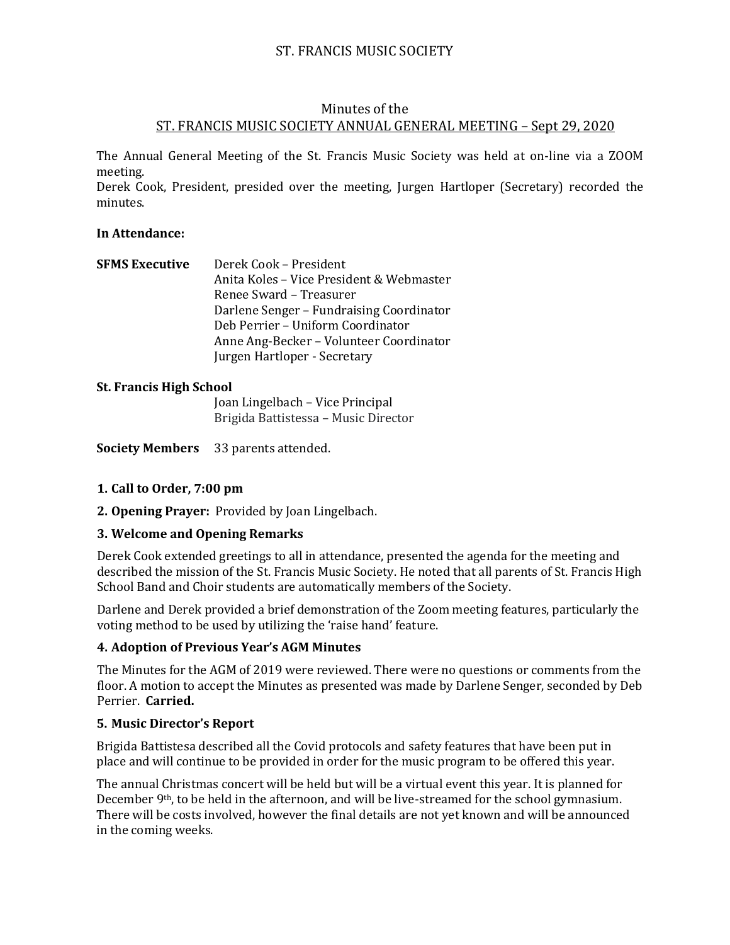# ST. FRANCIS MUSIC SOCIETY

# Minutes of the ST. FRANCIS MUSIC SOCIETY ANNUAL GENERAL MEETING – Sept 29, 2020

The Annual General Meeting of the St. Francis Music Society was held at on-line via a ZOOM meeting.

Derek Cook, President, presided over the meeting, Jurgen Hartloper (Secretary) recorded the minutes.

#### **In Attendance:**

| <b>SFMS Executive</b> | Derek Cook - President                   |
|-----------------------|------------------------------------------|
|                       | Anita Koles - Vice President & Webmaster |
|                       | Renee Sward – Treasurer                  |
|                       | Darlene Senger – Fundraising Coordinator |
|                       | Deb Perrier - Uniform Coordinator        |
|                       | Anne Ang-Becker – Volunteer Coordinator  |
|                       | Jurgen Hartloper - Secretary             |

#### **St. Francis High School**

Joan Lingelbach – Vice Principal Brigida Battistessa – Music Director

**Society Members** 33 parents attended.

# **1. Call to Order, 7:00 pm**

**2. Opening Prayer:** Provided by Joan Lingelbach.

#### **3. Welcome and Opening Remarks**

Derek Cook extended greetings to all in attendance, presented the agenda for the meeting and described the mission of the St. Francis Music Society. He noted that all parents of St. Francis High School Band and Choir students are automatically members of the Society.

Darlene and Derek provided a brief demonstration of the Zoom meeting features, particularly the voting method to be used by utilizing the 'raise hand' feature.

#### **4. Adoption of Previous Year's AGM Minutes**

The Minutes for the AGM of 2019 were reviewed. There were no questions or comments from the floor. A motion to accept the Minutes as presented was made by Darlene Senger, seconded by Deb Perrier. **Carried.**

#### **5. Music Director's Report**

Brigida Battistesa described all the Covid protocols and safety features that have been put in place and will continue to be provided in order for the music program to be offered this year.

The annual Christmas concert will be held but will be a virtual event this year. It is planned for December 9<sup>th</sup>, to be held in the afternoon, and will be live-streamed for the school gymnasium. There will be costs involved, however the final details are not yet known and will be announced in the coming weeks.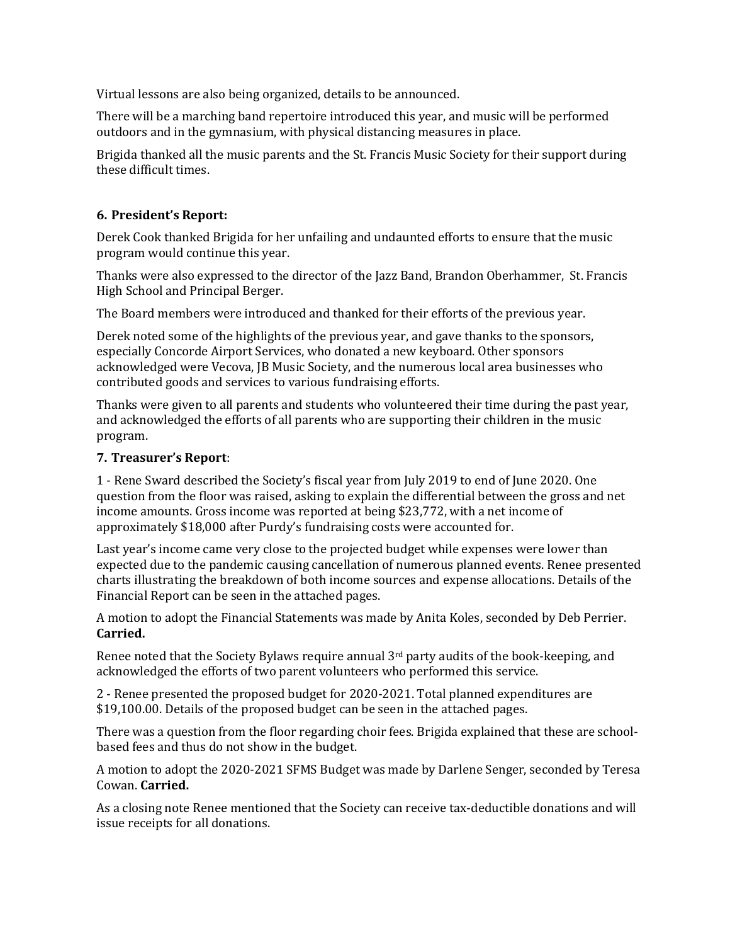Virtual lessons are also being organized, details to be announced.

There will be a marching band repertoire introduced this year, and music will be performed outdoors and in the gymnasium, with physical distancing measures in place.

Brigida thanked all the music parents and the St. Francis Music Society for their support during these difficult times.

# **6. President's Report:**

Derek Cook thanked Brigida for her unfailing and undaunted efforts to ensure that the music program would continue this year.

Thanks were also expressed to the director of the Jazz Band, Brandon Oberhammer, St. Francis High School and Principal Berger.

The Board members were introduced and thanked for their efforts of the previous year.

Derek noted some of the highlights of the previous year, and gave thanks to the sponsors, especially Concorde Airport Services, who donated a new keyboard. Other sponsors acknowledged were Vecova, JB Music Society, and the numerous local area businesses who contributed goods and services to various fundraising efforts.

Thanks were given to all parents and students who volunteered their time during the past year, and acknowledged the efforts of all parents who are supporting their children in the music program.

### **7. Treasurer's Report**:

1 - Rene Sward described the Society's fiscal year from July 2019 to end of June 2020. One question from the floor was raised, asking to explain the differential between the gross and net income amounts. Gross income was reported at being \$23,772, with a net income of approximately \$18,000 after Purdy's fundraising costs were accounted for.

Last year's income came very close to the projected budget while expenses were lower than expected due to the pandemic causing cancellation of numerous planned events. Renee presented charts illustrating the breakdown of both income sources and expense allocations. Details of the Financial Report can be seen in the attached pages.

A motion to adopt the Financial Statements was made by Anita Koles, seconded by Deb Perrier. **Carried.**

Renee noted that the Society Bylaws require annual 3<sup>rd</sup> party audits of the book-keeping, and acknowledged the efforts of two parent volunteers who performed this service.

2 - Renee presented the proposed budget for 2020-2021. Total planned expenditures are \$19,100.00. Details of the proposed budget can be seen in the attached pages.

There was a question from the floor regarding choir fees. Brigida explained that these are schoolbased fees and thus do not show in the budget.

A motion to adopt the 2020-2021 SFMS Budget was made by Darlene Senger, seconded by Teresa Cowan. **Carried.**

As a closing note Renee mentioned that the Society can receive tax-deductible donations and will issue receipts for all donations.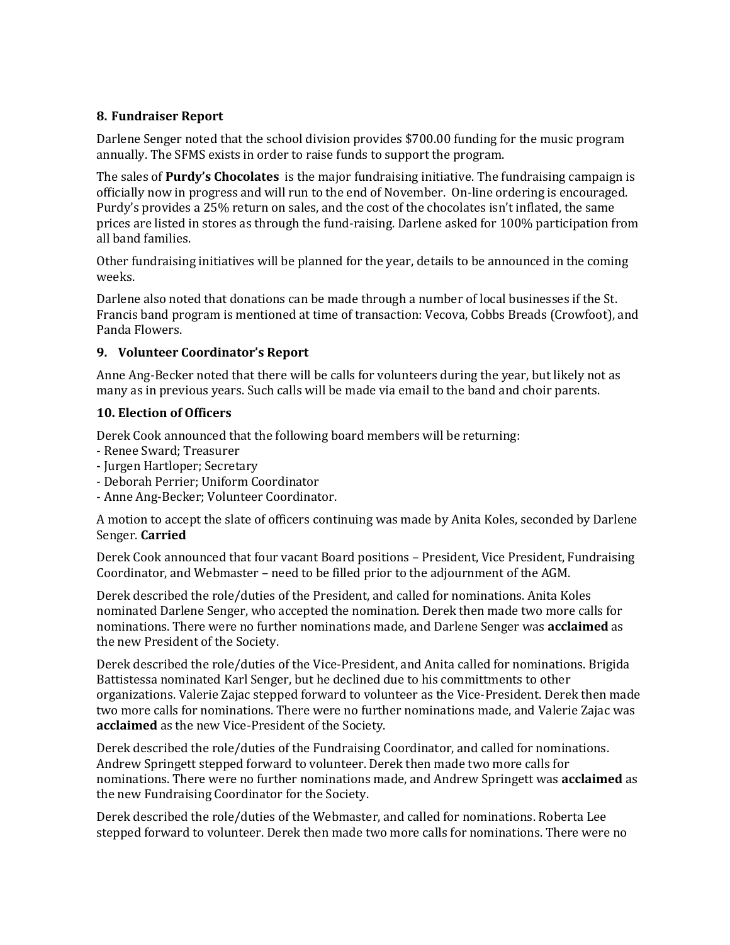## **8. Fundraiser Report**

Darlene Senger noted that the school division provides \$700.00 funding for the music program annually. The SFMS exists in order to raise funds to support the program.

The sales of **Purdy's Chocolates** is the major fundraising initiative. The fundraising campaign is officially now in progress and will run to the end of November. On-line ordering is encouraged. Purdy's provides a 25% return on sales, and the cost of the chocolates isn't inflated, the same prices are listed in stores as through the fund-raising. Darlene asked for 100% participation from all band families.

Other fundraising initiatives will be planned for the year, details to be announced in the coming weeks.

Darlene also noted that donations can be made through a number of local businesses if the St. Francis band program is mentioned at time of transaction: Vecova, Cobbs Breads (Crowfoot), and Panda Flowers.

### **9. Volunteer Coordinator's Report**

Anne Ang-Becker noted that there will be calls for volunteers during the year, but likely not as many as in previous years. Such calls will be made via email to the band and choir parents.

### **10. Election of Officers**

Derek Cook announced that the following board members will be returning:

- Renee Sward; Treasurer
- Jurgen Hartloper; Secretary
- Deborah Perrier; Uniform Coordinator
- Anne Ang-Becker; Volunteer Coordinator.

A motion to accept the slate of officers continuing was made by Anita Koles, seconded by Darlene Senger. **Carried**

Derek Cook announced that four vacant Board positions – President, Vice President, Fundraising Coordinator, and Webmaster – need to be filled prior to the adjournment of the AGM.

Derek described the role/duties of the President, and called for nominations. Anita Koles nominated Darlene Senger, who accepted the nomination. Derek then made two more calls for nominations. There were no further nominations made, and Darlene Senger was **acclaimed** as the new President of the Society.

Derek described the role/duties of the Vice-President, and Anita called for nominations. Brigida Battistessa nominated Karl Senger, but he declined due to his committments to other organizations. Valerie Zajac stepped forward to volunteer as the Vice-President. Derek then made two more calls for nominations. There were no further nominations made, and Valerie Zajac was **acclaimed** as the new Vice-President of the Society.

Derek described the role/duties of the Fundraising Coordinator, and called for nominations. Andrew Springett stepped forward to volunteer. Derek then made two more calls for nominations. There were no further nominations made, and Andrew Springett was **acclaimed** as the new Fundraising Coordinator for the Society.

Derek described the role/duties of the Webmaster, and called for nominations. Roberta Lee stepped forward to volunteer. Derek then made two more calls for nominations. There were no